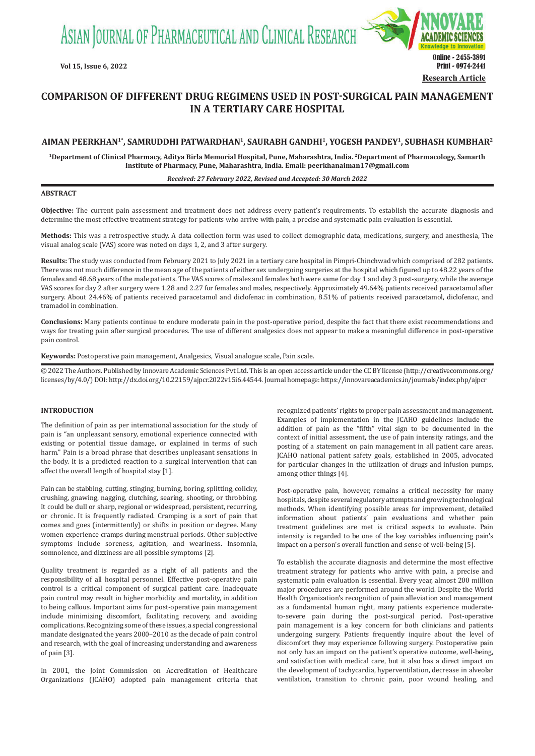ASIAN JOURNAL OF PHARMACEUTICAL AND CLINICAL RESEARCH



# **COMPARISON OF DIFFERENT DRUG REGIMENS USED IN POST-SURGICAL PAIN MANAGEMENT IN A TERTIARY CARE HOSPITAL**

# **AIMAN PEERKHAN1\*, SAMRUDDHI PATWARDHAN1, SAURABH GANDHI1, YOGESH PANDEY1, SUBHASH KUMBHAR2**

**1Department of Clinical Pharmacy, Aditya Birla Memorial Hospital, Pune, Maharashtra, India. 2Department of  Pharmacology, Samarth Institute of Pharmacy, Pune, Maharashtra, India. Email: peerkhanaiman17@gmail.com**

#### *Received: 27 February 2022, Revised and Accepted: 30 March 2022*

# **ABSTRACT**

**Objective:** The current pain assessment and treatment does not address every patient's requirements. To establish the accurate diagnosis and determine the most effective treatment strategy for patients who arrive with pain, a precise and systematic pain evaluation is essential.

**Methods:** This was a retrospective study. A data collection form was used to collect demographic data, medications, surgery, and anesthesia, The visual analog scale (VAS) score was noted on days 1, 2, and 3 after surgery.

**Results:** The study was conducted from February 2021 to July 2021 in a tertiary care hospital in Pimpri-Chinchwad which comprised of 282 patients. There was not much difference in the mean age of the patients of either sex undergoing surgeries at the hospital which figured up to 48.22 years of the females and 48.68 years of the male patients. The VAS scores of males and females both were same for day 1 and day 3 post-surgery, while the average VAS scores for day 2 after surgery were 1.28 and 2.27 for females and males, respectively. Approximately 49.64% patients received paracetamol after surgery. About 24.46% of patients received paracetamol and diclofenac in combination, 8.51% of patients received paracetamol, diclofenac, and tramadol in combination.

**Conclusions:** Many patients continue to endure moderate pain in the post-operative period, despite the fact that there exist recommendations and ways for treating pain after surgical procedures. The use of different analgesics does not appear to make a meaningful difference in post-operative pain control.

**Keywords:** Postoperative pain management, Analgesics, Visual analogue scale, Pain scale.

© 2022 The Authors. Published by Innovare Academic Sciences Pvt Ltd. This is an open access article under the CC BY license (http://creativecommons.org/ licenses/by/4.0/) DOI: http://dx.doi.org/10.22159/ajpcr.2022v15i6.44544. Journal homepage: https://innovareacademics.in/journals/index.php/ajpcr

# **INTRODUCTION**

The definition of pain as per international association for the study of pain is "an unpleasant sensory, emotional experience connected with existing or potential tissue damage, or explained in terms of such harm." Pain is a broad phrase that describes unpleasant sensations in the body. It is a predicted reaction to a surgical intervention that can affect the overall length of hospital stay [1].

Pain can be stabbing, cutting, stinging, burning, boring, splitting, colicky, crushing, gnawing, nagging, clutching, searing, shooting, or throbbing. It could be dull or sharp, regional or widespread, persistent, recurring, or chronic. It is frequently radiated. Cramping is a sort of pain that comes and goes (intermittently) or shifts in position or degree. Many women experience cramps during menstrual periods. Other subjective symptoms include soreness, agitation, and weariness. Insomnia, somnolence, and dizziness are all possible symptoms [2].

Quality treatment is regarded as a right of all patients and the responsibility of all hospital personnel. Effective post-operative pain control is a critical component of surgical patient care. Inadequate pain control may result in higher morbidity and mortality, in addition to being callous. Important aims for post-operative pain management include minimizing discomfort, facilitating recovery, and avoiding complications. Recognizing some of these issues, a special congressional mandate designated the years 2000–2010 as the decade of pain control and research, with the goal of increasing understanding and awareness of pain [3].

In 2001, the Joint Commission on Accreditation of Healthcare Organizations (JCAHO) adopted pain management criteria that recognized patients' rights to proper pain assessment and management. Examples of implementation in the JCAHO guidelines include the addition of pain as the "fifth" vital sign to be documented in the context of initial assessment, the use of pain intensity ratings, and the posting of a statement on pain management in all patient care areas. JCAHO national patient safety goals, established in 2005, advocated for particular changes in the utilization of drugs and infusion pumps, among other things [4].

Post-operative pain, however, remains a critical necessity for many hospitals, despite several regulatory attempts and growing technological methods. When identifying possible areas for improvement, detailed information about patients' pain evaluations and whether pain treatment guidelines are met is critical aspects to evaluate. Pain intensity is regarded to be one of the key variables influencing pain's impact on a person's overall function and sense of well-being [5].

To establish the accurate diagnosis and determine the most effective treatment strategy for patients who arrive with pain, a precise and systematic pain evaluation is essential. Every year, almost 200 million major procedures are performed around the world. Despite the World Health Organization's recognition of pain alleviation and management as a fundamental human right, many patients experience moderateto-severe pain during the post-surgical period. Post-operative pain management is a key concern for both clinicians and patients undergoing surgery. Patients frequently inquire about the level of discomfort they may experience following surgery. Postoperative pain not only has an impact on the patient's operative outcome, well-being, and satisfaction with medical care, but it also has a direct impact on the development of tachycardia, hyperventilation, decrease in alveolar ventilation, transition to chronic pain, poor wound healing, and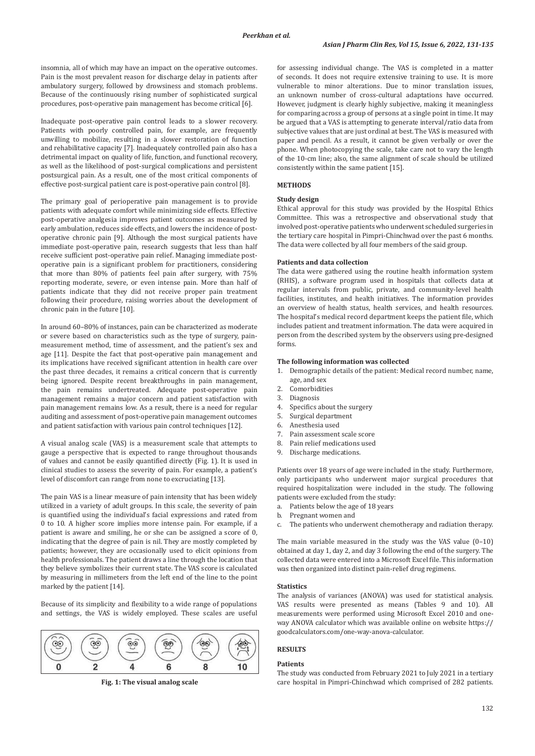insomnia, all of which may have an impact on the operative outcomes. Pain is the most prevalent reason for discharge delay in patients after ambulatory surgery, followed by drowsiness and stomach problems. Because of the continuously rising number of sophisticated surgical procedures, post-operative pain management has become critical [6].

Inadequate post-operative pain control leads to a slower recovery. Patients with poorly controlled pain, for example, are frequently unwilling to mobilize, resulting in a slower restoration of function and rehabilitative capacity [7]. Inadequately controlled pain also has a detrimental impact on quality of life, function, and functional recovery, as well as the likelihood of post-surgical complications and persistent postsurgical pain. As a result, one of the most critical components of effective post-surgical patient care is post-operative pain control [8].

The primary goal of perioperative pain management is to provide patients with adequate comfort while minimizing side effects. Effective post-operative analgesia improves patient outcomes as measured by early ambulation, reduces side effects, and lowers the incidence of postoperative chronic pain [9]. Although the most surgical patients have immediate post-operative pain, research suggests that less than half receive sufficient post-operative pain relief. Managing immediate postoperative pain is a significant problem for practitioners, considering that more than 80% of patients feel pain after surgery, with 75% reporting moderate, severe, or even intense pain. More than half of patients indicate that they did not receive proper pain treatment following their procedure, raising worries about the development of chronic pain in the future [10].

In around 60–80% of instances, pain can be characterized as moderate or severe based on characteristics such as the type of surgery, painmeasurement method, time of assessment, and the patient's sex and age [11]. Despite the fact that post-operative pain management and its implications have received significant attention in health care over the past three decades, it remains a critical concern that is currently being ignored. Despite recent breakthroughs in pain management, the pain remains undertreated. Adequate post-operative pain management remains a major concern and patient satisfaction with pain management remains low. As a result, there is a need for regular auditing and assessment of post-operative pain management outcomes and patient satisfaction with various pain control techniques [12].

A visual analog scale (VAS) is a measurement scale that attempts to gauge a perspective that is expected to range throughout thousands of values and cannot be easily quantified directly (Fig. 1). It is used in clinical studies to assess the severity of pain. For example, a patient's level of discomfort can range from none to excruciating [13].

The pain VAS is a linear measure of pain intensity that has been widely utilized in a variety of adult groups. In this scale, the severity of pain is quantified using the individual's facial expressions and rated from 0 to 10. A higher score implies more intense pain. For example, if a patient is aware and smiling, he or she can be assigned a score of 0, indicating that the degree of pain is nil. They are mostly completed by patients; however, they are occasionally used to elicit opinions from health professionals. The patient draws a line through the location that they believe symbolizes their current state. The VAS score is calculated by measuring in millimeters from the left end of the line to the point marked by the patient [14].

Because of its simplicity and flexibility to a wide range of populations and settings, the VAS is widely employed. These scales are useful



for assessing individual change. The VAS is completed in a matter of seconds. It does not require extensive training to use. It is more vulnerable to minor alterations. Due to minor translation issues, an unknown number of cross-cultural adaptations have occurred. However, judgment is clearly highly subjective, making it meaningless for comparing across a group of persons at a single point in time. It may be argued that a VAS is attempting to generate interval/ratio data from subjective values that are just ordinal at best. The VAS is measured with paper and pencil. As a result, it cannot be given verbally or over the phone. When photocopying the scale, take care not to vary the length of the 10-cm line; also, the same alignment of scale should be utilized consistently within the same patient [15].

# **METHODS**

# **Study design**

Ethical approval for this study was provided by the Hospital Ethics Committee. This was a retrospective and observational study that involved post-operative patients who underwent scheduled surgeries in the tertiary care hospital in Pimpri-Chinchwad over the past 6 months. The data were collected by all four members of the said group.

# **Patients and data collection**

The data were gathered using the routine health information system (RHIS), a software program used in hospitals that collects data at regular intervals from public, private, and community-level health facilities, institutes, and health initiatives. The information provides an overview of health status, health services, and health resources. The hospital's medical record department keeps the patient file, which includes patient and treatment information. The data were acquired in person from the described system by the observers using pre-designed forms.

# **The following information was collected**

- 1. Demographic details of the patient: Medical record number, name, age, and sex
- 2. Comorbidities<br>3. Diagnosis
- 3. Diagnosis<br>4. Specifics
- 4. Specifics about the surgery<br>5. Surgical department
- 5. Surgical department<br>6. Anesthesia used
- 6. Anesthesia used
- 7. Pain assessment scale score<br>8. Pain relief medications used
- 8. Pain relief medications used<br>9. Discharge medications
- Discharge medications.

Patients over 18 years of age were included in the study. Furthermore, only participants who underwent major surgical procedures that required hospitalization were included in the study. The following patients were excluded from the study:

- a. Patients below the age of 18 years
- b. Pregnant women and<br>c. The patients who und
- The patients who underwent chemotherapy and radiation therapy.

The main variable measured in the study was the VAS value (0–10) obtained at day 1, day 2, and day 3 following the end of the surgery. The collected data were entered into a Microsoft Excel file. This information was then organized into distinct pain-relief drug regimens.

### **Statistics**

The analysis of variances (ANOVA) was used for statistical analysis. VAS results were presented as means (Tables 9 and 10). All measurements were performed using Microsoft Excel 2010 and oneway ANOVA calculator which was available online on website https:// goodcalculators.com/one-way-anova-calculator.

# **RESULTS**

#### **Patients**

The study was conducted from February 2021 to July 2021 in a tertiary **Fig. 1: The visual analog scale** care hospital in Pimpri-Chinchwad which comprised of 282 patients.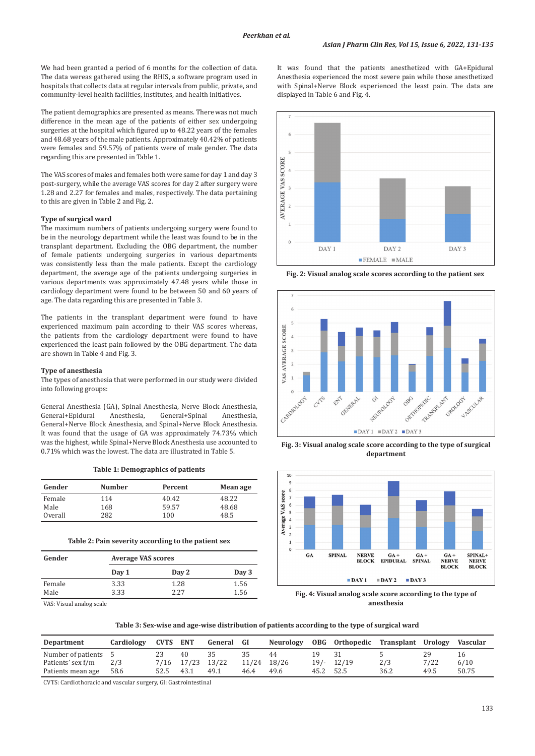We had been granted a period of 6 months for the collection of data. The data wereas gathered using the RHIS, a software program used in hospitals that collects data at regular intervals from public, private, and community-level health facilities, institutes, and health initiatives.

The patient demographics are presented as means. There was not much difference in the mean age of the patients of either sex undergoing surgeries at the hospital which figured up to 48.22 years of the females and 48.68 years of the male patients. Approximately 40.42% of patients were females and 59.57% of patients were of male gender. The data regarding this are presented in Table 1.

The VAS scores of males and females both were same for day 1 and day 3 post-surgery, while the average VAS scores for day 2 after surgery were 1.28 and 2.27 for females and males, respectively. The data pertaining to this are given in Table 2 and Fig. 2.

# **Type of surgical ward**

The maximum numbers of patients undergoing surgery were found to be in the neurology department while the least was found to be in the transplant department. Excluding the OBG department, the number of female patients undergoing surgeries in various departments was consistently less than the male patients. Except the cardiology department, the average age of the patients undergoing surgeries in various departments was approximately 47.48 years while those in cardiology department were found to be between 50 and 60 years of age. The data regarding this are presented in Table 3.

The patients in the transplant department were found to have experienced maximum pain according to their VAS scores whereas, the patients from the cardiology department were found to have experienced the least pain followed by the OBG department. The data are shown in Table 4 and Fig. 3.

# **Type of anesthesia**

The types of anesthesia that were performed in our study were divided into following groups:

General Anesthesia (GA), Spinal Anesthesia, Nerve Block Anesthesia, General+Spinal General+Nerve Block Anesthesia, and Spinal+Nerve Block Anesthesia. It was found that the usage of GA was approximately 74.73% which was the highest, while Spinal+Nerve Block Anesthesia use accounted to 0.71% which was the lowest. The data are illustrated in Table 5.

|  | Table 1: Demographics of patients |  |  |  |
|--|-----------------------------------|--|--|--|
|--|-----------------------------------|--|--|--|

| Gender  | <b>Number</b> | Percent | Mean age |
|---------|---------------|---------|----------|
| Female  | 114           | 40.42   | 48.22    |
| Male    | 168           | 59.57   | 48.68    |
| Overall | 282           | 100     | 48.5     |

**Table 2: Pain severity according to the patient sex**

| Gender         | <b>Average VAS scores</b> |              |              |  |  |  |
|----------------|---------------------------|--------------|--------------|--|--|--|
|                | Day 1                     | Day 2        | Day 3        |  |  |  |
| Female<br>Male | 3.33<br>3.33              | 1.28<br>2.27 | 1.56<br>1.56 |  |  |  |

VAS: Visual analog scale

It was found that the patients anesthetized with GA+Epidural Anesthesia experienced the most severe pain while those anesthetized with Spinal+Nerve Block experienced the least pain. The data are displayed in Table 6 and Fig. 4.



**Fig. 2: Visual analog scale scores according to the patient sex**







**Fig. 4: Visual analog scale score according to the type of anesthesia**

| Table 3: Sex-wise and age-wise distribution of patients according to the type of surgical ward |  |
|------------------------------------------------------------------------------------------------|--|
|------------------------------------------------------------------------------------------------|--|

| Department           | Cardiology | <b>CVTS ENT</b> |                  | General | - GI        | <b>Neurology</b> |           | OBG Orthopedic | Transplant Urology |      | Vascular |
|----------------------|------------|-----------------|------------------|---------|-------------|------------------|-----------|----------------|--------------------|------|----------|
| Number of patients 5 |            |                 | 40               |         |             | 44               | 19.       | -31            |                    | 29   |          |
| Patients' sex f/m    | 2/3        |                 | 7/16 17/23 13/22 |         | 11/24 18/26 |                  |           | $19/- 12/19$   | 2/3                | 7/22 | 6/10     |
| Patients mean age    | 58.6       |                 | 43.1             | 49.1    | 46.4        | 49.6             | 45.2 52.5 |                | 36.2               | 49.5 | 50.75    |

CVTS: Cardiothoracic and vascular surgery, GI: Gastrointestinal